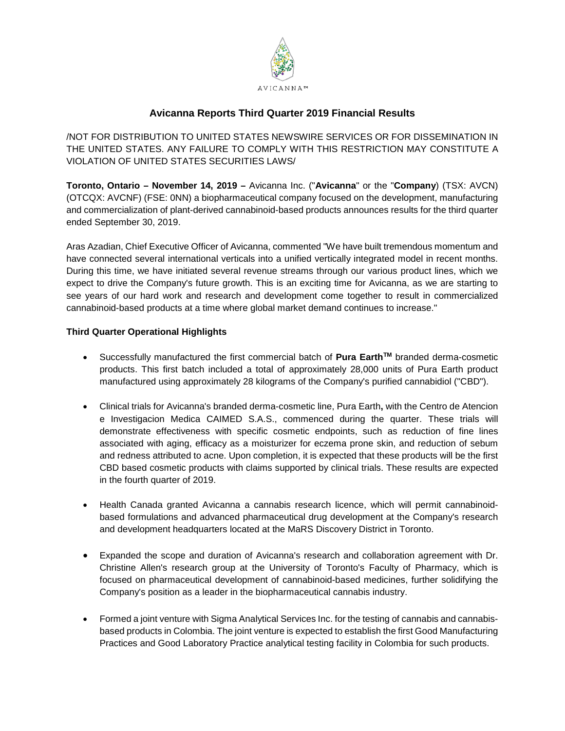

# **Avicanna Reports Third Quarter 2019 Financial Results**

/NOT FOR DISTRIBUTION TO UNITED STATES NEWSWIRE SERVICES OR FOR DISSEMINATION IN THE UNITED STATES. ANY FAILURE TO COMPLY WITH THIS RESTRICTION MAY CONSTITUTE A VIOLATION OF UNITED STATES SECURITIES LAWS/

**Toronto, Ontario – November 14, 2019 –** Avicanna Inc. ("**Avicanna**" or the "**Company**) (TSX: AVCN) (OTCQX: AVCNF) (FSE: 0NN) a biopharmaceutical company focused on the development, manufacturing and commercialization of plant-derived cannabinoid-based products announces results for the third quarter ended September 30, 2019.

Aras Azadian, Chief Executive Officer of Avicanna, commented "We have built tremendous momentum and have connected several international verticals into a unified vertically integrated model in recent months. During this time, we have initiated several revenue streams through our various product lines, which we expect to drive the Company's future growth. This is an exciting time for Avicanna, as we are starting to see years of our hard work and research and development come together to result in commercialized cannabinoid-based products at a time where global market demand continues to increase."

## **Third Quarter Operational Highlights**

- Successfully manufactured the first commercial batch of **Pura EarthTM** branded derma-cosmetic products. This first batch included a total of approximately 28,000 units of Pura Earth product manufactured using approximately 28 kilograms of the Company's purified cannabidiol ("CBD").
- Clinical trials for Avicanna's branded derma-cosmetic line, Pura Earth**,** with the Centro de Atencion e Investigacion Medica CAIMED S.A.S., commenced during the quarter. These trials will demonstrate effectiveness with specific cosmetic endpoints, such as reduction of fine lines associated with aging, efficacy as a moisturizer for eczema prone skin, and reduction of sebum and redness attributed to acne. Upon completion, it is expected that these products will be the first CBD based cosmetic products with claims supported by clinical trials. These results are expected in the fourth quarter of 2019.
- Health Canada granted Avicanna a cannabis research licence, which will permit cannabinoidbased formulations and advanced pharmaceutical drug development at the Company's research and development headquarters located at the MaRS Discovery District in Toronto.
- Expanded the scope and duration of Avicanna's research and collaboration agreement with Dr. Christine Allen's research group at the University of Toronto's Faculty of Pharmacy, which is focused on pharmaceutical development of cannabinoid-based medicines, further solidifying the Company's position as a leader in the biopharmaceutical cannabis industry.
- Formed a joint venture with Sigma Analytical Services Inc. for the testing of cannabis and cannabisbased products in Colombia. The joint venture is expected to establish the first Good Manufacturing Practices and Good Laboratory Practice analytical testing facility in Colombia for such products.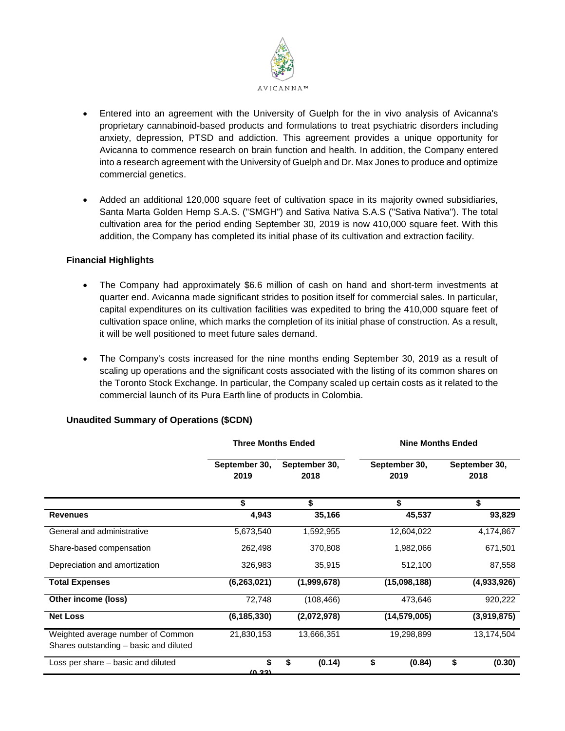

- Entered into an agreement with the University of Guelph for the in vivo analysis of Avicanna's proprietary cannabinoid-based products and formulations to treat psychiatric disorders including anxiety, depression, PTSD and addiction. This agreement provides a unique opportunity for Avicanna to commence research on brain function and health. In addition, the Company entered into a research agreement with the University of Guelph and Dr. Max Jones to produce and optimize commercial genetics.
- Added an additional 120,000 square feet of cultivation space in its majority owned subsidiaries, Santa Marta Golden Hemp S.A.S. ("SMGH") and Sativa Nativa S.A.S ("Sativa Nativa"). The total cultivation area for the period ending September 30, 2019 is now 410,000 square feet. With this addition, the Company has completed its initial phase of its cultivation and extraction facility.

## **Financial Highlights**

- The Company had approximately \$6.6 million of cash on hand and short-term investments at quarter end. Avicanna made significant strides to position itself for commercial sales. In particular, capital expenditures on its cultivation facilities was expedited to bring the 410,000 square feet of cultivation space online, which marks the completion of its initial phase of construction. As a result, it will be well positioned to meet future sales demand.
- The Company's costs increased for the nine months ending September 30, 2019 as a result of scaling up operations and the significant costs associated with the listing of its common shares on the Toronto Stock Exchange. In particular, the Company scaled up certain costs as it related to the commercial launch of its Pura Earth line of products in Colombia.

#### **Unaudited Summary of Operations (\$CDN)**

|                                                                             | <b>Three Months Ended</b> |                       | <b>Nine Months Ended</b> |                       |
|-----------------------------------------------------------------------------|---------------------------|-----------------------|--------------------------|-----------------------|
|                                                                             | September 30,<br>2019     | September 30,<br>2018 | September 30,<br>2019    | September 30,<br>2018 |
|                                                                             | \$                        | \$                    | \$                       | \$                    |
| <b>Revenues</b>                                                             | 4,943                     | 35,166                | 45,537                   | 93,829                |
| General and administrative                                                  | 5,673,540                 | 1,592,955             | 12,604,022               | 4,174,867             |
| Share-based compensation                                                    | 262,498                   | 370,808               | 1,982,066                | 671,501               |
| Depreciation and amortization                                               | 326,983                   | 35,915                | 512,100                  | 87,558                |
| <b>Total Expenses</b>                                                       | (6,263,021)               | (1,999,678)           | (15,098,188)             | (4,933,926)           |
| Other income (loss)                                                         | 72,748                    | (108, 466)            | 473,646                  | 920,222               |
| <b>Net Loss</b>                                                             | (6, 185, 330)             | (2,072,978)           | (14, 579, 005)           | (3,919,875)           |
| Weighted average number of Common<br>Shares outstanding - basic and diluted | 21,830,153                | 13,666,351            | 19,298,899               | 13,174,504            |
| Loss per share - basic and diluted                                          | (0.22)                    | (0.14)<br>\$          | \$<br>(0.84)             | \$<br>(0.30)          |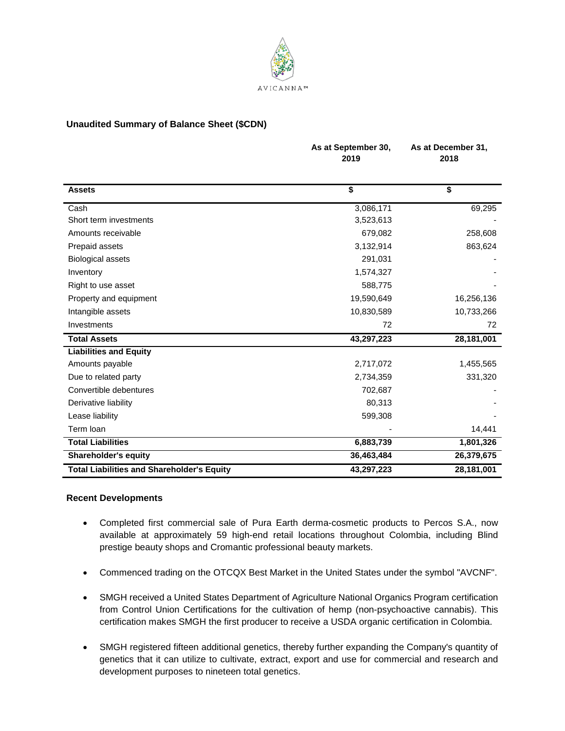

## **Unaudited Summary of Balance Sheet (\$CDN)**

|                                                   | As at September 30,<br>2019 | As at December 31,<br>2018 |
|---------------------------------------------------|-----------------------------|----------------------------|
| <b>Assets</b>                                     | \$                          | \$                         |
| Cash                                              | 3,086,171                   | 69,295                     |
| Short term investments                            | 3,523,613                   |                            |
| Amounts receivable                                | 679,082                     | 258,608                    |
| Prepaid assets                                    | 3,132,914                   | 863,624                    |
| <b>Biological assets</b>                          | 291,031                     |                            |
| Inventory                                         | 1,574,327                   |                            |
| Right to use asset                                | 588,775                     |                            |
| Property and equipment                            | 19,590,649                  | 16,256,136                 |
| Intangible assets                                 | 10,830,589                  | 10,733,266                 |
| Investments                                       | 72                          | 72                         |
| <b>Total Assets</b>                               | 43,297,223                  | 28,181,001                 |
| <b>Liabilities and Equity</b>                     |                             |                            |
| Amounts payable                                   | 2,717,072                   | 1,455,565                  |
| Due to related party                              | 2,734,359                   | 331,320                    |
| Convertible debentures                            | 702,687                     |                            |
| Derivative liability                              | 80,313                      |                            |
| Lease liability                                   | 599,308                     |                            |
| Term loan                                         |                             | 14,441                     |
| <b>Total Liabilities</b>                          | 6,883,739                   | 1,801,326                  |
| <b>Shareholder's equity</b>                       | 36,463,484                  | 26,379,675                 |
| <b>Total Liabilities and Shareholder's Equity</b> | 43,297,223                  | 28,181,001                 |

#### **Recent Developments**

- Completed first commercial sale of Pura Earth derma-cosmetic products to Percos S.A., now available at approximately 59 high-end retail locations throughout Colombia, including Blind prestige beauty shops and Cromantic professional beauty markets.
- Commenced trading on the OTCQX Best Market in the United States under the symbol "AVCNF".
- SMGH received a United States Department of Agriculture National Organics Program certification from Control Union Certifications for the cultivation of hemp (non-psychoactive cannabis). This certification makes SMGH the first producer to receive a USDA organic certification in Colombia.
- SMGH registered fifteen additional genetics, thereby further expanding the Company's quantity of genetics that it can utilize to cultivate, extract, export and use for commercial and research and development purposes to nineteen total genetics.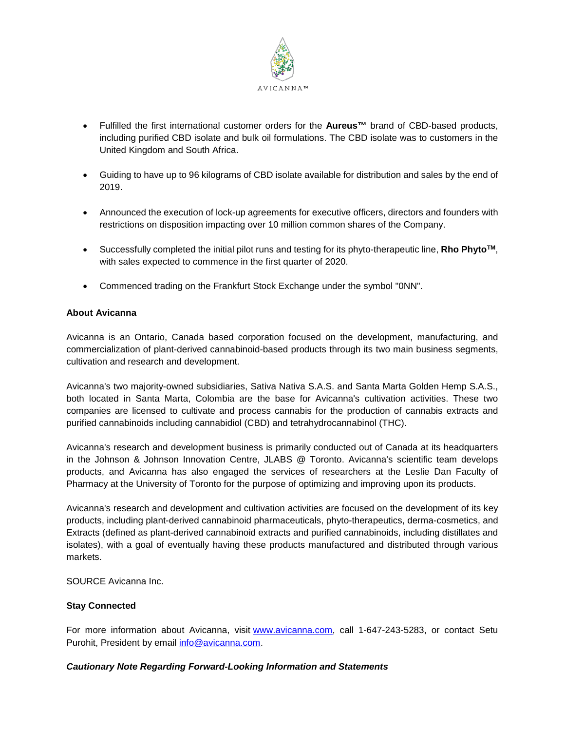

- Fulfilled the first international customer orders for the **Aureus™** brand of CBD-based products, including purified CBD isolate and bulk oil formulations. The CBD isolate was to customers in the United Kingdom and South Africa.
- Guiding to have up to 96 kilograms of CBD isolate available for distribution and sales by the end of 2019.
- Announced the execution of lock-up agreements for executive officers, directors and founders with restrictions on disposition impacting over 10 million common shares of the Company.
- Successfully completed the initial pilot runs and testing for its phyto-therapeutic line, **Rho Phyto<sup>TM</sup>**, with sales expected to commence in the first quarter of 2020.
- Commenced trading on the Frankfurt Stock Exchange under the symbol "0NN".

## **About Avicanna**

Avicanna is an Ontario, Canada based corporation focused on the development, manufacturing, and commercialization of plant-derived cannabinoid-based products through its two main business segments, cultivation and research and development.

Avicanna's two majority-owned subsidiaries, Sativa Nativa S.A.S. and Santa Marta Golden Hemp S.A.S., both located in Santa Marta, Colombia are the base for Avicanna's cultivation activities. These two companies are licensed to cultivate and process cannabis for the production of cannabis extracts and purified cannabinoids including cannabidiol (CBD) and tetrahydrocannabinol (THC).

Avicanna's research and development business is primarily conducted out of Canada at its headquarters in the Johnson & Johnson Innovation Centre, JLABS @ Toronto. Avicanna's scientific team develops products, and Avicanna has also engaged the services of researchers at the Leslie Dan Faculty of Pharmacy at the University of Toronto for the purpose of optimizing and improving upon its products.

Avicanna's research and development and cultivation activities are focused on the development of its key products, including plant-derived cannabinoid pharmaceuticals, phyto-therapeutics, derma-cosmetics, and Extracts (defined as plant-derived cannabinoid extracts and purified cannabinoids, including distillates and isolates), with a goal of eventually having these products manufactured and distributed through various markets.

SOURCE Avicanna Inc.

## **Stay Connected**

For more information about Avicanna, visit [www.avicanna.com,](http://www.avicanna.com/) call 1-647-243-5283, or contact Setu Purohit, President by email [info@avicanna.com.](mailto:info@avicanna.com)

#### *Cautionary Note Regarding Forward-Looking Information and Statements*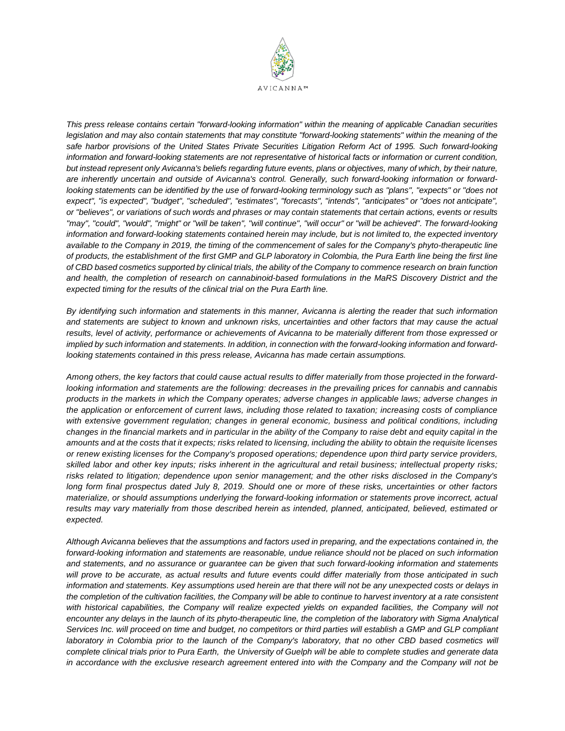

*This press release contains certain "forward-looking information" within the meaning of applicable Canadian securities*  legislation and may also contain statements that may constitute "forward-looking statements" within the meaning of the safe harbor provisions of the United States Private Securities Litigation Reform Act of 1995. Such forward-looking *information and forward-looking statements are not representative of historical facts or information or current condition, but instead represent only Avicanna's beliefs regarding future events, plans or objectives, many of which, by their nature, are inherently uncertain and outside of Avicanna's control. Generally, such forward-looking information or forwardlooking statements can be identified by the use of forward-looking terminology such as "plans", "expects" or "does not expect", "is expected", "budget", "scheduled", "estimates", "forecasts", "intends", "anticipates" or "does not anticipate", or "believes", or variations of such words and phrases or may contain statements that certain actions, events or results "may", "could", "would", "might" or "will be taken", "will continue", "will occur" or "will be achieved". The forward-looking information and forward-looking statements contained herein may include, but is not limited to, the expected inventory available to the Company in 2019, the timing of the commencement of sales for the Company's phyto-therapeutic line of products, the establishment of the first GMP and GLP laboratory in Colombia, the Pura Earth line being the first line of CBD based cosmetics supported by clinical trials, the ability of the Company to commence research on brain function and health, the completion of research on cannabinoid-based formulations in the MaRS Discovery District and the expected timing for the results of the clinical trial on the Pura Earth line.*

*By identifying such information and statements in this manner, Avicanna is alerting the reader that such information and statements are subject to known and unknown risks, uncertainties and other factors that may cause the actual results, level of activity, performance or achievements of Avicanna to be materially different from those expressed or implied by such information and statements. In addition, in connection with the forward-looking information and forwardlooking statements contained in this press release, Avicanna has made certain assumptions.*

*Among others, the key factors that could cause actual results to differ materially from those projected in the forwardlooking information and statements are the following: decreases in the prevailing prices for cannabis and cannabis products in the markets in which the Company operates; adverse changes in applicable laws; adverse changes in the application or enforcement of current laws, including those related to taxation; increasing costs of compliance*  with extensive government regulation; changes in general economic, business and political conditions, including *changes in the financial markets and in particular in the ability of the Company to raise debt and equity capital in the amounts and at the costs that it expects; risks related to licensing, including the ability to obtain the requisite licenses or renew existing licenses for the Company's proposed operations; dependence upon third party service providers, skilled labor and other key inputs; risks inherent in the agricultural and retail business; intellectual property risks; risks related to litigation; dependence upon senior management; and the other risks disclosed in the Company's long form final prospectus dated July 8, 2019. Should one or more of these risks, uncertainties or other factors materialize, or should assumptions underlying the forward-looking information or statements prove incorrect, actual results may vary materially from those described herein as intended, planned, anticipated, believed, estimated or expected.*

*Although Avicanna believes that the assumptions and factors used in preparing, and the expectations contained in, the*  forward-looking information and statements are reasonable, undue reliance should not be placed on such information *and statements, and no assurance or guarantee can be given that such forward-looking information and statements will prove to be accurate, as actual results and future events could differ materially from those anticipated in such*  information and statements. Key assumptions used herein are that there will not be any unexpected costs or delays in *the completion of the cultivation facilities, the Company will be able to continue to harvest inventory at a rate consistent*  with historical capabilities, the Company will realize expected yields on expanded facilities, the Company will not *encounter any delays in the launch of its phyto-therapeutic line, the completion of the laboratory with Sigma Analytical Services Inc. will proceed on time and budget, no competitors or third parties will establish a GMP and GLP compliant laboratory in Colombia prior to the launch of the Company's laboratory, that no other CBD based cosmetics will complete clinical trials prior to Pura Earth, the University of Guelph will be able to complete studies and generate data in accordance with the exclusive research agreement entered into with the Company and the Company will not be*